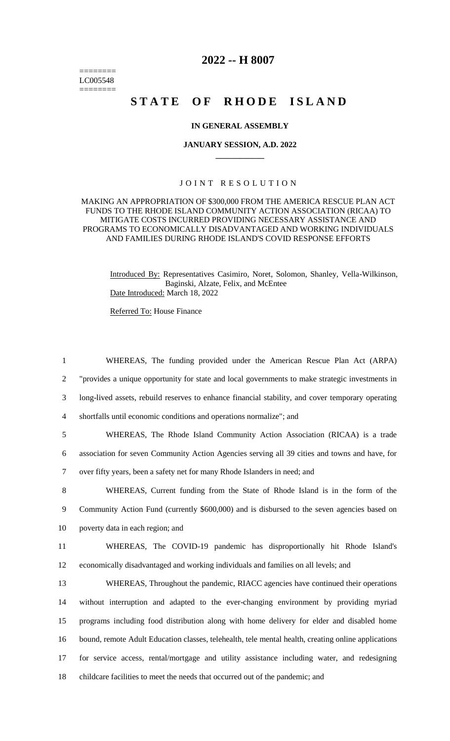======== LC005548 ========

# **2022 -- H 8007**

# STATE OF RHODE ISLAND

### **IN GENERAL ASSEMBLY**

#### **JANUARY SESSION, A.D. 2022 \_\_\_\_\_\_\_\_\_\_\_\_**

## JOINT RESOLUTION

#### MAKING AN APPROPRIATION OF \$300,000 FROM THE AMERICA RESCUE PLAN ACT FUNDS TO THE RHODE ISLAND COMMUNITY ACTION ASSOCIATION (RICAA) TO MITIGATE COSTS INCURRED PROVIDING NECESSARY ASSISTANCE AND PROGRAMS TO ECONOMICALLY DISADVANTAGED AND WORKING INDIVIDUALS AND FAMILIES DURING RHODE ISLAND'S COVID RESPONSE EFFORTS

Introduced By: Representatives Casimiro, Noret, Solomon, Shanley, Vella-Wilkinson, Baginski, Alzate, Felix, and McEntee Date Introduced: March 18, 2022

Referred To: House Finance

 "provides a unique opportunity for state and local governments to make strategic investments in long-lived assets, rebuild reserves to enhance financial stability, and cover temporary operating shortfalls until economic conditions and operations normalize"; and WHEREAS, The Rhode Island Community Action Association (RICAA) is a trade association for seven Community Action Agencies serving all 39 cities and towns and have, for over fifty years, been a safety net for many Rhode Islanders in need; and WHEREAS, Current funding from the State of Rhode Island is in the form of the Community Action Fund (currently \$600,000) and is disbursed to the seven agencies based on poverty data in each region; and WHEREAS, The COVID-19 pandemic has disproportionally hit Rhode Island's economically disadvantaged and working individuals and families on all levels; and WHEREAS, Throughout the pandemic, RIACC agencies have continued their operations without interruption and adapted to the ever-changing environment by providing myriad programs including food distribution along with home delivery for elder and disabled home bound, remote Adult Education classes, telehealth, tele mental health, creating online applications for service access, rental/mortgage and utility assistance including water, and redesigning childcare facilities to meet the needs that occurred out of the pandemic; and

1 WHEREAS, The funding provided under the American Rescue Plan Act (ARPA)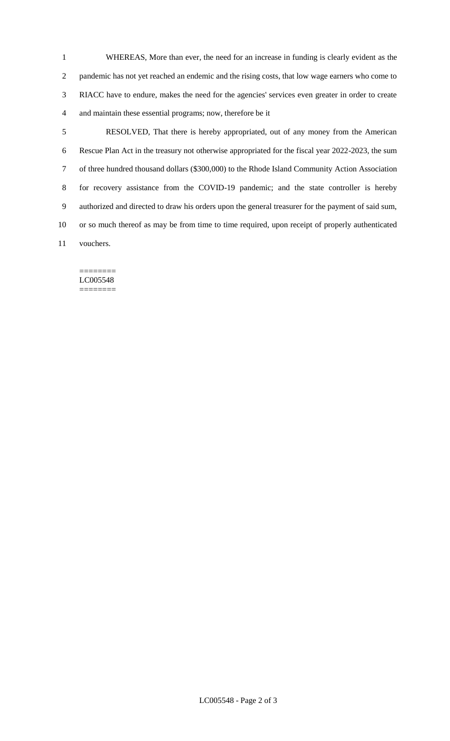WHEREAS, More than ever, the need for an increase in funding is clearly evident as the pandemic has not yet reached an endemic and the rising costs, that low wage earners who come to RIACC have to endure, makes the need for the agencies' services even greater in order to create and maintain these essential programs; now, therefore be it

 RESOLVED, That there is hereby appropriated, out of any money from the American Rescue Plan Act in the treasury not otherwise appropriated for the fiscal year 2022-2023, the sum of three hundred thousand dollars (\$300,000) to the Rhode Island Community Action Association for recovery assistance from the COVID-19 pandemic; and the state controller is hereby authorized and directed to draw his orders upon the general treasurer for the payment of said sum, or so much thereof as may be from time to time required, upon receipt of properly authenticated vouchers.

======== LC005548 ========